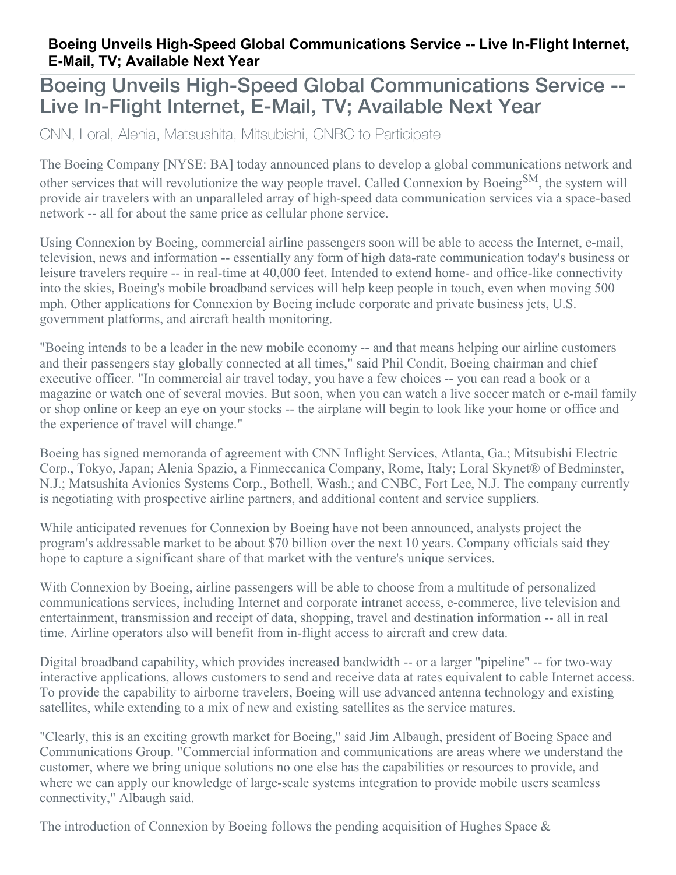## **Boeing Unveils High-Speed Global Communications Service -- Live In-Flight Internet, E-Mail, TV; Available Next Year**

## Boeing Unveils High-Speed Global Communications Service -- Live In-Flight Internet, E-Mail, TV; Available Next Year

CNN, Loral, Alenia, Matsushita, Mitsubishi, CNBC to Participate

The Boeing Company [NYSE: BA] today announced plans to develop a global communications network and other services that will revolutionize the way people travel. Called Connexion by Boeing<sup>SM</sup>, the system will provide air travelers with an unparalleled array of high-speed data communication services via a space-based network -- all for about the same price as cellular phone service.

Using Connexion by Boeing, commercial airline passengers soon will be able to access the Internet, e-mail, television, news and information -- essentially any form of high data-rate communication today's business or leisure travelers require -- in real-time at 40,000 feet. Intended to extend home- and office-like connectivity into the skies, Boeing's mobile broadband services will help keep people in touch, even when moving 500 mph. Other applications for Connexion by Boeing include corporate and private business jets, U.S. government platforms, and aircraft health monitoring.

"Boeing intends to be a leader in the new mobile economy -- and that means helping our airline customers and their passengers stay globally connected at all times," said Phil Condit, Boeing chairman and chief executive officer. "In commercial air travel today, you have a few choices -- you can read a book or a magazine or watch one of several movies. But soon, when you can watch a live soccer match or e-mail family or shop online or keep an eye on your stocks -- the airplane will begin to look like your home or office and the experience of travel will change."

Boeing has signed memoranda of agreement with CNN Inflight Services, Atlanta, Ga.; Mitsubishi Electric Corp., Tokyo, Japan; Alenia Spazio, a Finmeccanica Company, Rome, Italy; Loral Skynet® of Bedminster, N.J.; Matsushita Avionics Systems Corp., Bothell, Wash.; and CNBC, Fort Lee, N.J. The company currently is negotiating with prospective airline partners, and additional content and service suppliers.

While anticipated revenues for Connexion by Boeing have not been announced, analysts project the program's addressable market to be about \$70 billion over the next 10 years. Company officials said they hope to capture a significant share of that market with the venture's unique services.

With Connexion by Boeing, airline passengers will be able to choose from a multitude of personalized communications services, including Internet and corporate intranet access, e-commerce, live television and entertainment, transmission and receipt of data, shopping, travel and destination information -- all in real time. Airline operators also will benefit from in-flight access to aircraft and crew data.

Digital broadband capability, which provides increased bandwidth -- or a larger "pipeline" -- for two-way interactive applications, allows customers to send and receive data at rates equivalent to cable Internet access. To provide the capability to airborne travelers, Boeing will use advanced antenna technology and existing satellites, while extending to a mix of new and existing satellites as the service matures.

"Clearly, this is an exciting growth market for Boeing," said Jim Albaugh, president of Boeing Space and Communications Group. "Commercial information and communications are areas where we understand the customer, where we bring unique solutions no one else has the capabilities or resources to provide, and where we can apply our knowledge of large-scale systems integration to provide mobile users seamless connectivity," Albaugh said.

The introduction of Connexion by Boeing follows the pending acquisition of Hughes Space &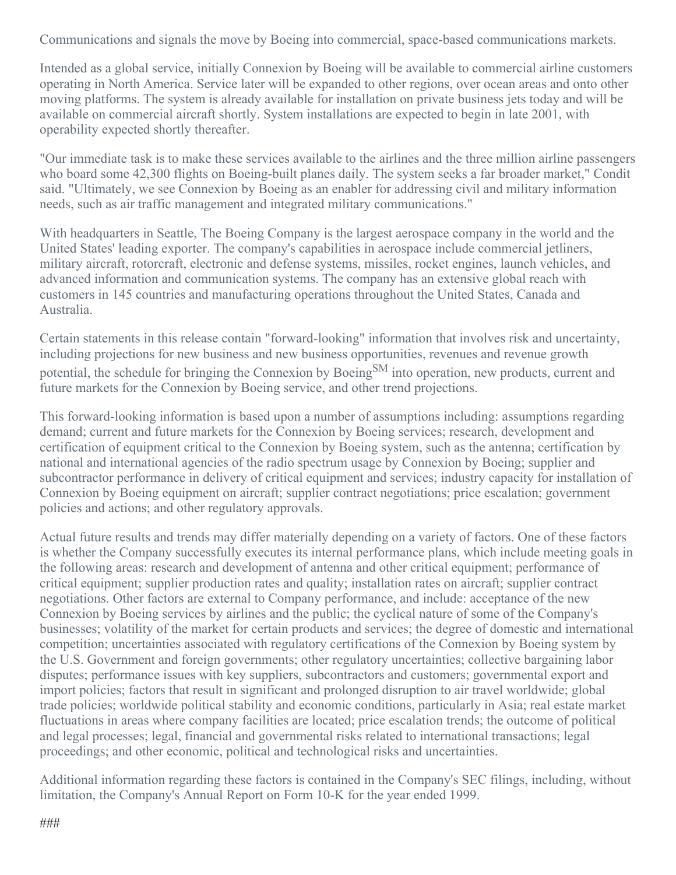Communications and signals the move by Boeing into commercial, space-based communications markets.

Intended as a global service, initially Connexion by Boeing will be available to commercial airline customers operating in North America. Service later will be expanded to other regions, over ocean areas and onto other moving platforms. The system is already available for installation on private business jets today and will be available on commercial aircraft shortly. System installations are expected to begin in late 2001, with operability expected shortly thereafter.

"Our immediate task is to make these services available to the airlines and the three million airline passengers who board some 42,300 flights on Boeing-built planes daily. The system seeks a far broader market," Condit said. "Ultimately, we see Connexion by Boeing as an enabler for addressing civil and military information needs, such as air traffic management and integrated military communications."

With headquarters in Seattle, The Boeing Company is the largest aerospace company in the world and the United States' leading exporter. The company's capabilities in aerospace include commercial jetliners, military aircraft, rotorcraft, electronic and defense systems, missiles, rocket engines, launch vehicles, and advanced information and communication systems. The company has an extensive global reach with customers in 145 countries and manufacturing operations throughout the United States, Canada and Australia.

Certain statements in this release contain "forward-looking" information that involves risk and uncertainty, including projections for new business and new business opportunities, revenues and revenue growth potential, the schedule for bringing the Connexion by Boeing<sup>SM</sup> into operation, new products, current and future markets for the Connexion by Boeing service, and other trend projections.

This forward-looking information is based upon a number of assumptions including: assumptions regarding demand; current and future markets for the Connexion by Boeing services; research, development and certification of equipment critical to the Connexion by Boeing system, such as the antenna; certification by national and international agencies of the radio spectrum usage by Connexion by Boeing; supplier and subcontractor performance in delivery of critical equipment and services; industry capacity for installation of Connexion by Boeing equipment on aircraft; supplier contract negotiations; price escalation; government policies and actions; and other regulatory approvals.

Actual future results and trends may differ materially depending on a variety of factors. One of these factors is whether the Company successfully executes its internal performance plans, which include meeting goals in the following areas: research and development of antenna and other critical equipment; performance of critical equipment; supplier production rates and quality; installation rates on aircraft; supplier contract negotiations. Other factors are external to Company performance, and include: acceptance of the new Connexion by Boeing services by airlines and the public; the cyclical nature of some of the Company's businesses; volatility of the market for certain products and services; the degree of domestic and international competition; uncertainties associated with regulatory certifications of the Connexion by Boeing system by the U.S. Government and foreign governments; other regulatory uncertainties; collective bargaining labor disputes; performance issues with key suppliers, subcontractors and customers; governmental export and import policies; factors that result in significant and prolonged disruption to air travel worldwide; global trade policies; worldwide political stability and economic conditions, particularly in Asia; real estate market fluctuations in areas where company facilities are located; price escalation trends; the outcome of political and legal processes; legal, financial and governmental risks related to international transactions; legal proceedings; and other economic, political and technological risks and uncertainties.

Additional information regarding these factors is contained in the Company's SEC filings, including, without limitation, the Company's Annual Report on Form 10-K for the year ended 1999.